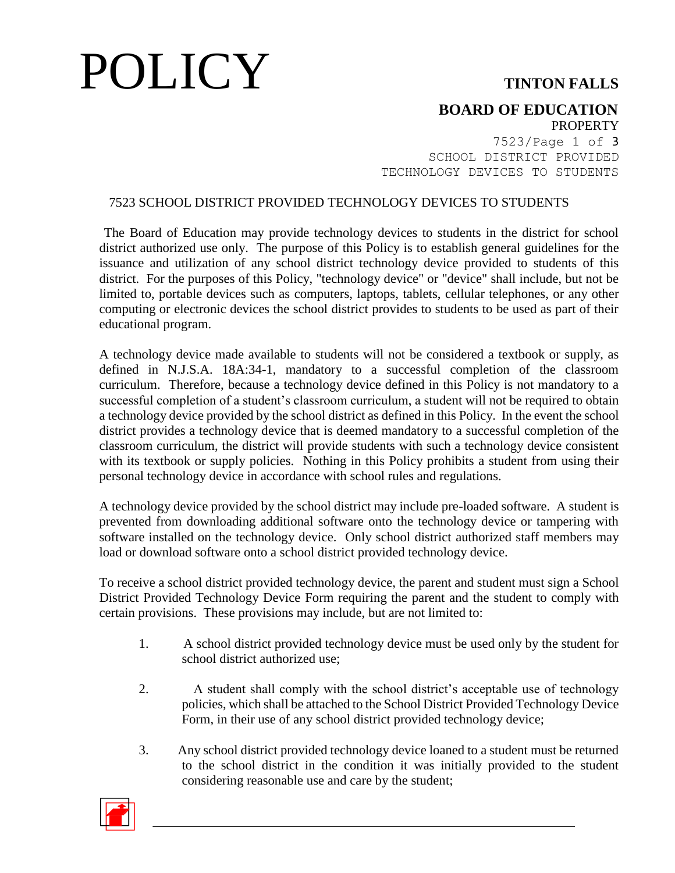# POLICY **TINTON FALLS**

### **BOARD OF EDUCATION PROPERTY**

7523/Page 1 of 3 SCHOOL DISTRICT PROVIDED TECHNOLOGY DEVICES TO STUDENTS

## 7523 SCHOOL DISTRICT PROVIDED TECHNOLOGY DEVICES TO STUDENTS

The Board of Education may provide technology devices to students in the district for school district authorized use only. The purpose of this Policy is to establish general guidelines for the issuance and utilization of any school district technology device provided to students of this district. For the purposes of this Policy, "technology device" or "device" shall include, but not be limited to, portable devices such as computers, laptops, tablets, cellular telephones, or any other computing or electronic devices the school district provides to students to be used as part of their educational program.

A technology device made available to students will not be considered a textbook or supply, as defined in N.J.S.A. 18A:34-1, mandatory to a successful completion of the classroom curriculum. Therefore, because a technology device defined in this Policy is not mandatory to a successful completion of a student's classroom curriculum, a student will not be required to obtain a technology device provided by the school district as defined in this Policy. In the event the school district provides a technology device that is deemed mandatory to a successful completion of the classroom curriculum, the district will provide students with such a technology device consistent with its textbook or supply policies. Nothing in this Policy prohibits a student from using their personal technology device in accordance with school rules and regulations.

A technology device provided by the school district may include pre-loaded software. A student is prevented from downloading additional software onto the technology device or tampering with software installed on the technology device. Only school district authorized staff members may load or download software onto a school district provided technology device.

To receive a school district provided technology device, the parent and student must sign a School District Provided Technology Device Form requiring the parent and the student to comply with certain provisions. These provisions may include, but are not limited to:

- 1. A school district provided technology device must be used only by the student for school district authorized use;
- 2. A student shall comply with the school district's acceptable use of technology policies, which shall be attached to the School District Provided Technology Device Form, in their use of any school district provided technology device;
- 3. Any school district provided technology device loaned to a student must be returned to the school district in the condition it was initially provided to the student considering reasonable use and care by the student;

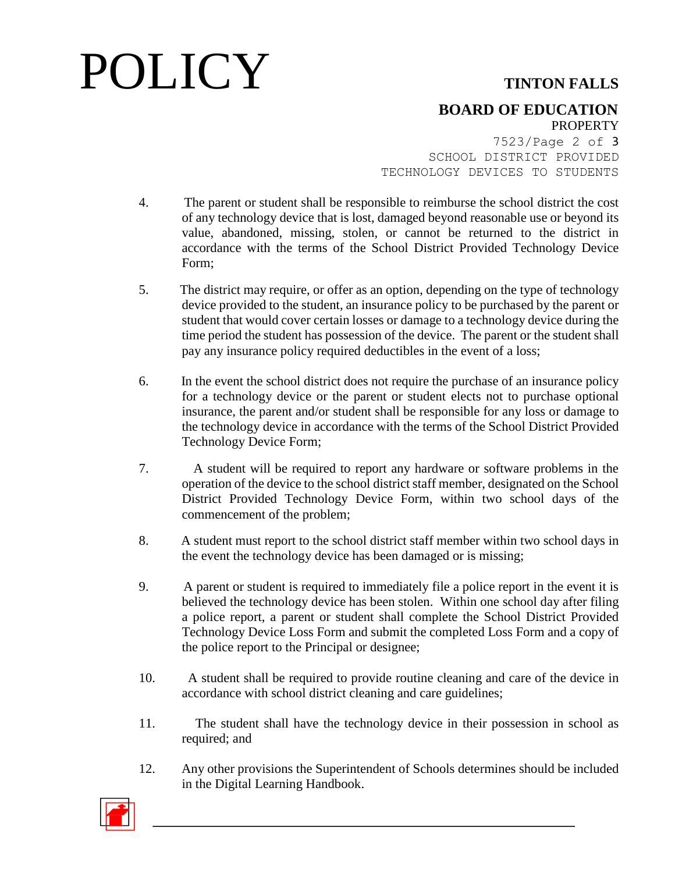# POLICY **TINTON FALLS**

## **BOARD OF EDUCATION PROPERTY**

7523/Page 2 of 3 SCHOOL DISTRICT PROVIDED TECHNOLOGY DEVICES TO STUDENTS

- 4. The parent or student shall be responsible to reimburse the school district the cost of any technology device that is lost, damaged beyond reasonable use or beyond its value, abandoned, missing, stolen, or cannot be returned to the district in accordance with the terms of the School District Provided Technology Device Form;
- 5. The district may require, or offer as an option, depending on the type of technology device provided to the student, an insurance policy to be purchased by the parent or student that would cover certain losses or damage to a technology device during the time period the student has possession of the device. The parent or the student shall pay any insurance policy required deductibles in the event of a loss;
- 6. In the event the school district does not require the purchase of an insurance policy for a technology device or the parent or student elects not to purchase optional insurance, the parent and/or student shall be responsible for any loss or damage to the technology device in accordance with the terms of the School District Provided Technology Device Form;
- 7. A student will be required to report any hardware or software problems in the operation of the device to the school district staff member, designated on the School District Provided Technology Device Form, within two school days of the commencement of the problem;
- 8. A student must report to the school district staff member within two school days in the event the technology device has been damaged or is missing;
- 9. A parent or student is required to immediately file a police report in the event it is believed the technology device has been stolen. Within one school day after filing a police report, a parent or student shall complete the School District Provided Technology Device Loss Form and submit the completed Loss Form and a copy of the police report to the Principal or designee;
- 10. A student shall be required to provide routine cleaning and care of the device in accordance with school district cleaning and care guidelines;
- 11. The student shall have the technology device in their possession in school as required; and
- 12. Any other provisions the Superintendent of Schools determines should be included in the Digital Learning Handbook.